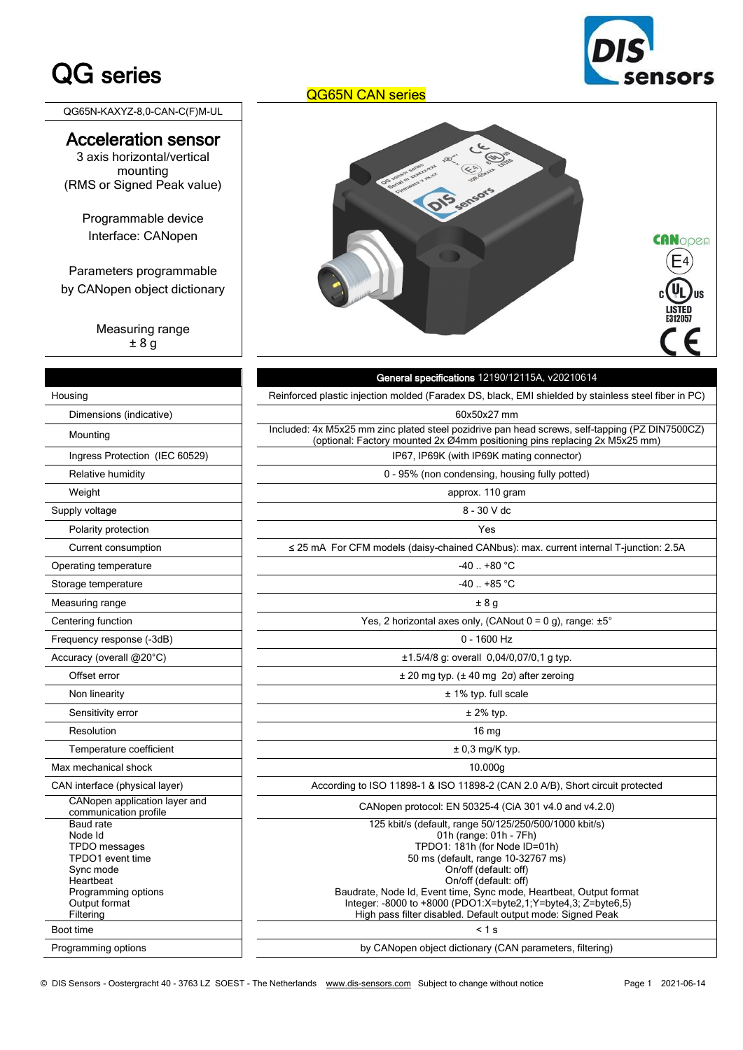# QG series

nsors

QG65N-KAXYZ-8,0-CAN-C(F)M-UL

### Acceleration sensor

3 axis horizontal/vertical mounting (RMS or Signed Peak value)

Programmable device Interface: CANopen

Parameters programmable by CANopen object dictionary

> Measuring range ± 8 g

|                                                                                                                                                       | Reinforced plastic injection molded (Faradex DS, bla                                                                                                                                                                                                        |
|-------------------------------------------------------------------------------------------------------------------------------------------------------|-------------------------------------------------------------------------------------------------------------------------------------------------------------------------------------------------------------------------------------------------------------|
| Housing                                                                                                                                               |                                                                                                                                                                                                                                                             |
| Dimensions (indicative)                                                                                                                               | 60x50x27                                                                                                                                                                                                                                                    |
| Mounting                                                                                                                                              | Included: 4x M5x25 mm zinc plated steel pozidrive p<br>(optional: Factory mounted 2x Ø4mm pos                                                                                                                                                               |
| Ingress Protection (IEC 60529)                                                                                                                        | IP67, IP69K (with IP69k                                                                                                                                                                                                                                     |
| Relative humidity                                                                                                                                     | 0 - 95% (non condensing,                                                                                                                                                                                                                                    |
| Weight                                                                                                                                                | approx. 11                                                                                                                                                                                                                                                  |
| Supply voltage                                                                                                                                        | $8 - 30V$                                                                                                                                                                                                                                                   |
| Polarity protection                                                                                                                                   | Yes                                                                                                                                                                                                                                                         |
| Current consumption                                                                                                                                   | ≤ 25 mA For CFM models (daisy-chained CAN                                                                                                                                                                                                                   |
| Operating temperature                                                                                                                                 | $-40$ $+80$                                                                                                                                                                                                                                                 |
| Storage temperature                                                                                                                                   | $-40$ $+85$                                                                                                                                                                                                                                                 |
| Measuring range                                                                                                                                       | ±8g                                                                                                                                                                                                                                                         |
| Centering function                                                                                                                                    | Yes, 2 horizontal axes only, (C.                                                                                                                                                                                                                            |
| Frequency response (-3dB)                                                                                                                             | $0 - 1600$                                                                                                                                                                                                                                                  |
| Accuracy (overall @20°C)                                                                                                                              | $±1.5/4/8$ g: overall 0,                                                                                                                                                                                                                                    |
| Offset error                                                                                                                                          | $±$ 20 mg typ. ( $±$ 40 mg                                                                                                                                                                                                                                  |
| Non linearity                                                                                                                                         | ± 1% typ. fu                                                                                                                                                                                                                                                |
| Sensitivity error                                                                                                                                     | $± 2\%$ ty                                                                                                                                                                                                                                                  |
| Resolution                                                                                                                                            | 16 $m$                                                                                                                                                                                                                                                      |
| Temperature coefficient                                                                                                                               | $± 0,3$ mg/l                                                                                                                                                                                                                                                |
| Max mechanical shock                                                                                                                                  | 10.000                                                                                                                                                                                                                                                      |
| CAN interface (physical layer)                                                                                                                        | According to ISO 11898-1 & ISO 11898-2                                                                                                                                                                                                                      |
| CANopen application layer and<br>communication profile                                                                                                | CANopen protocol: EN 50325-4                                                                                                                                                                                                                                |
| Baud rate<br>Node Id<br>TPDO messages<br>TPDO1 event time<br>Sync mode<br>Heartbeat<br>Programming options<br>Output format<br>Filtering<br>Boot time | 125 kbit/s (default, range 50/<br>$01h$ (range: $0$<br>TPDO1: 181h (for<br>50 ms (default, rang<br>On/off (defa<br>On/off (defa<br>Baudrate, Node Id, Event time, Sync<br>Integer: -8000 to +8000 (PDO1:X=<br>High pass filter disabled. Default<br>$< 1$ s |
| Drogramming options                                                                                                                                   | hy CANonon object dictionary                                                                                                                                                                                                                                |

#### QG65N CAN series



 General specifications 12190/12115A, v20210614 Reinforced plastic injection molded (Faradex DS, black, EMI shielded by stainless steel fiber in PC) 60x50x27 mm Included: 4x M5x25 mm zinc plated steel pozidrive pan head screws, self-tapping (PZ DIN7500CZ) (optional: Factory mounted 2x Ø4mm positioning pins replacing 2x M5x25 mm) IP67, IP69K (with IP69K mating connector) 0 - 95% (non condensing, housing fully potted) approx. 110 gram Supply voltage 8 - 30 V dc = 30 V dc = 30 V dc = 30 V dc = 30 V dc = 30 V dc Polarity protection Yes ≤ 25 mA For CFM models (daisy-chained CANbus): max. current internal T-junction: 2.5A  $-40$  .. +80  $^{\circ}$ C  $-40$  .. +85 °C Measuring range  $\pm 8$  g Yes, 2 horizontal axes only, (CANout  $0 = 0$  g), range:  $\pm 5^{\circ}$  $0 - 1600$  Hz  $\pm 1.5/4/8$  g: overall 0,04/0,07/0,1 g typ.  $± 20$  mg typ. ( $± 40$  mg 2σ) after zeroing  $± 1%$  typ. full scale Sensitivity error ± 2% typ. Resolution 16 mg  $± 0.3$  mg/K typ. Max mechanical shock 10.000g According to ISO 11898-1 & ISO 11898-2 (CAN 2.0 A/B), Short circuit protected CANopen protocol: EN 50325-4 (CiA 301 v4.0 and v4.2.0) 125 kbit/s (default, range 50/125/250/500/1000 kbit/s) 01h (range: 01h - 7Fh) TPDO1: 181h (for Node ID=01h) 50 ms (default, range 10-32767 ms) On/off (default: off) On/off (default: off) Baudrate, Node Id, Event time, Sync mode, Heartbeat, Output format Integer: -8000 to +8000 (PDO1:X=byte2,1;Y=byte4,3; Z=byte6,5) High pass filter disabled. Default output mode: Signed Peak

Programming options by CANopen object dictionary (CAN parameters, filtering)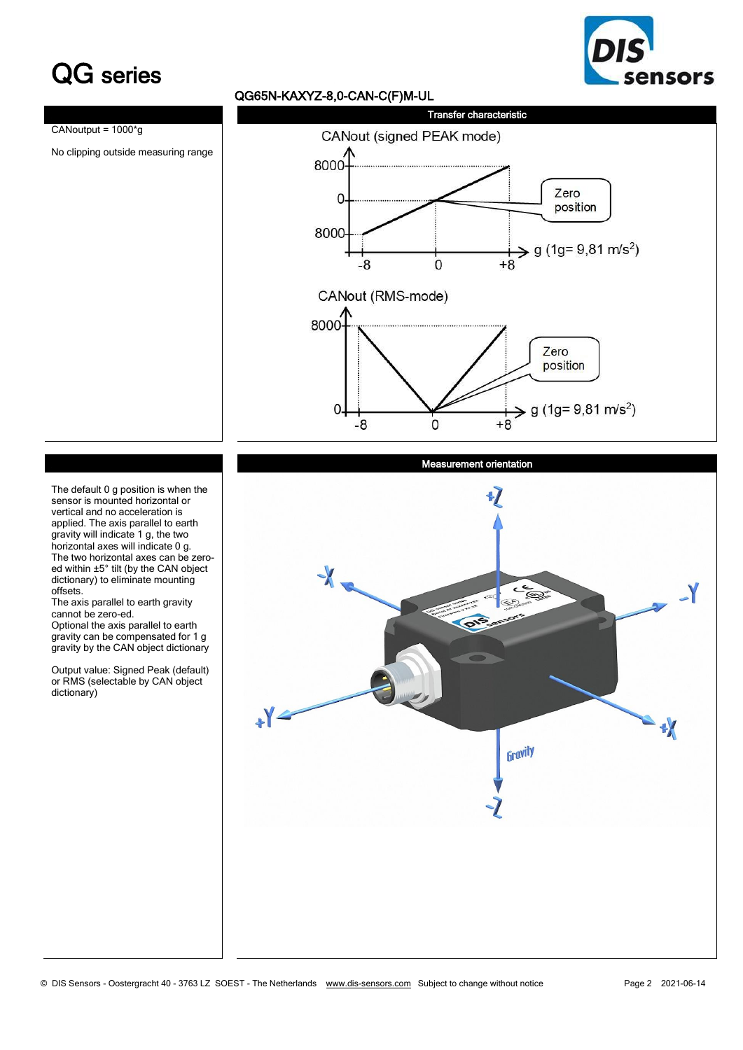## QG series



### QG65N-KAXYZ-8,0-CAN-C(F)M-UL



#### Measurement orientation



The default 0 g position is when the sensor is mounted horizontal or vertical and no acceleration is applied. The axis parallel to earth gravity will indicate 1 g, the two horizontal axes will indicate 0 g. The two horizontal axes can be zeroed within ±5° tilt (by the CAN object dictionary) to eliminate mounting offsets.

The axis parallel to earth gravity cannot be zero-ed.

Optional the axis parallel to earth gravity can be compensated for 1 g gravity by the CAN object dictionary

Output value: Signed Peak (default) or RMS (selectable by CAN object dictionary)